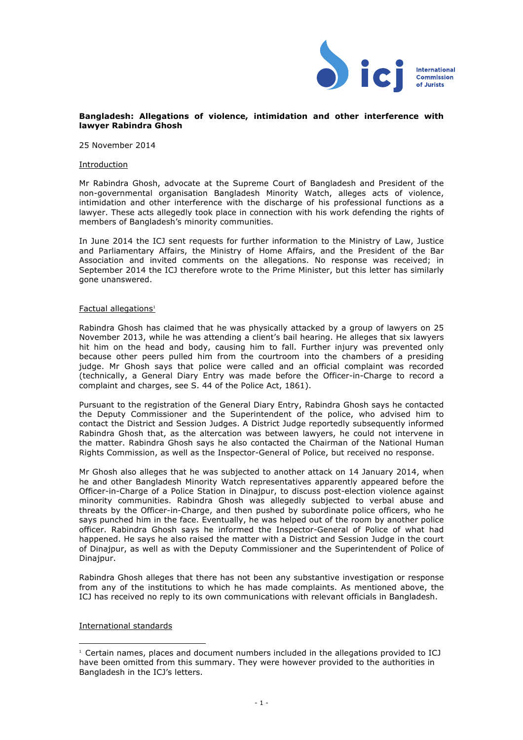

## **Bangladesh: Allegations of violence, intimidation and other interference with lawyer Rabindra Ghosh**

25 November 2014

## Introduction

Mr Rabindra Ghosh, advocate at the Supreme Court of Bangladesh and President of the non-governmental organisation Bangladesh Minority Watch, alleges acts of violence, intimidation and other interference with the discharge of his professional functions as a lawyer. These acts allegedly took place in connection with his work defending the rights of members of Bangladesh's minority communities.

In June 2014 the ICJ sent requests for further information to the Ministry of Law, Justice and Parliamentary Affairs, the Ministry of Home Affairs, and the President of the Bar Association and invited comments on the allegations. No response was received; in September 2014 the ICJ therefore wrote to the Prime Minister, but this letter has similarly gone unanswered.

## Factual allegations<sup>1</sup>

Rabindra Ghosh has claimed that he was physically attacked by a group of lawyers on 25 November 2013, while he was attending a client's bail hearing. He alleges that six lawyers hit him on the head and body, causing him to fall. Further injury was prevented only because other peers pulled him from the courtroom into the chambers of a presiding judge. Mr Ghosh says that police were called and an official complaint was recorded (technically, a General Diary Entry was made before the Officer-in-Charge to record a complaint and charges, see S. 44 of the Police Act, 1861).

Pursuant to the registration of the General Diary Entry, Rabindra Ghosh says he contacted the Deputy Commissioner and the Superintendent of the police, who advised him to contact the District and Session Judges. A District Judge reportedly subsequently informed Rabindra Ghosh that, as the altercation was between lawyers, he could not intervene in the matter. Rabindra Ghosh says he also contacted the Chairman of the National Human Rights Commission, as well as the Inspector-General of Police, but received no response.

Mr Ghosh also alleges that he was subjected to another attack on 14 January 2014, when he and other Bangladesh Minority Watch representatives apparently appeared before the Officer-in-Charge of a Police Station in Dinajpur, to discuss post-election violence against minority communities. Rabindra Ghosh was allegedly subjected to verbal abuse and threats by the Officer-in-Charge, and then pushed by subordinate police officers, who he says punched him in the face. Eventually, he was helped out of the room by another police officer. Rabindra Ghosh says he informed the Inspector-General of Police of what had happened. He says he also raised the matter with a District and Session Judge in the court of Dinajpur, as well as with the Deputy Commissioner and the Superintendent of Police of Dinajpur.

Rabindra Ghosh alleges that there has not been any substantive investigation or response from any of the institutions to which he has made complaints. As mentioned above, the ICJ has received no reply to its own communications with relevant officials in Bangladesh.

International standards

 <sup>1</sup> Certain names, places and document numbers included in the allegations provided to ICJ have been omitted from this summary. They were however provided to the authorities in Bangladesh in the ICJ's letters.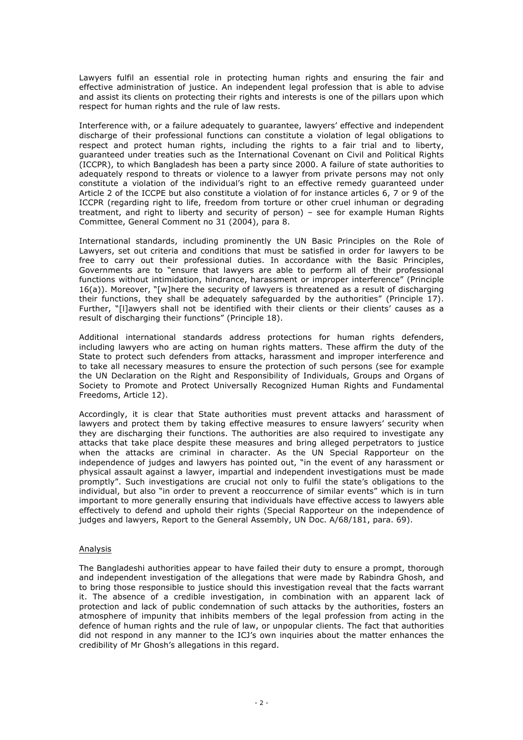Lawyers fulfil an essential role in protecting human rights and ensuring the fair and effective administration of justice. An independent legal profession that is able to advise and assist its clients on protecting their rights and interests is one of the pillars upon which respect for human rights and the rule of law rests.

Interference with, or a failure adequately to guarantee, lawyers' effective and independent discharge of their professional functions can constitute a violation of legal obligations to respect and protect human rights, including the rights to a fair trial and to liberty, guaranteed under treaties such as the International Covenant on Civil and Political Rights (ICCPR), to which Bangladesh has been a party since 2000. A failure of state authorities to adequately respond to threats or violence to a lawyer from private persons may not only constitute a violation of the individual's right to an effective remedy guaranteed under Article 2 of the ICCPE but also constitute a violation of for instance articles 6, 7 or 9 of the ICCPR (regarding right to life, freedom from torture or other cruel inhuman or degrading treatment, and right to liberty and security of person) – see for example Human Rights Committee, General Comment no 31 (2004), para 8.

International standards, including prominently the UN Basic Principles on the Role of Lawyers, set out criteria and conditions that must be satisfied in order for lawyers to be free to carry out their professional duties. In accordance with the Basic Principles, Governments are to "ensure that lawyers are able to perform all of their professional functions without intimidation, hindrance, harassment or improper interference" (Principle 16(a)). Moreover, "[w]here the security of lawyers is threatened as a result of discharging their functions, they shall be adequately safeguarded by the authorities" (Principle 17). Further, "[l]awyers shall not be identified with their clients or their clients' causes as a result of discharging their functions" (Principle 18).

Additional international standards address protections for human rights defenders, including lawyers who are acting on human rights matters. These affirm the duty of the State to protect such defenders from attacks, harassment and improper interference and to take all necessary measures to ensure the protection of such persons (see for example the UN Declaration on the Right and Responsibility of Individuals, Groups and Organs of Society to Promote and Protect Universally Recognized Human Rights and Fundamental Freedoms, Article 12).

Accordingly, it is clear that State authorities must prevent attacks and harassment of lawyers and protect them by taking effective measures to ensure lawyers' security when they are discharging their functions. The authorities are also required to investigate any attacks that take place despite these measures and bring alleged perpetrators to justice when the attacks are criminal in character. As the UN Special Rapporteur on the independence of judges and lawyers has pointed out, "in the event of any harassment or physical assault against a lawyer, impartial and independent investigations must be made promptly". Such investigations are crucial not only to fulfil the state's obligations to the individual, but also "in order to prevent a reoccurrence of similar events" which is in turn important to more generally ensuring that individuals have effective access to lawyers able effectively to defend and uphold their rights (Special Rapporteur on the independence of judges and lawyers, Report to the General Assembly, UN Doc. A/68/181, para. 69).

## Analysis

The Bangladeshi authorities appear to have failed their duty to ensure a prompt, thorough and independent investigation of the allegations that were made by Rabindra Ghosh, and to bring those responsible to justice should this investigation reveal that the facts warrant it. The absence of a credible investigation, in combination with an apparent lack of protection and lack of public condemnation of such attacks by the authorities, fosters an atmosphere of impunity that inhibits members of the legal profession from acting in the defence of human rights and the rule of law, or unpopular clients. The fact that authorities did not respond in any manner to the ICJ's own inquiries about the matter enhances the credibility of Mr Ghosh's allegations in this regard.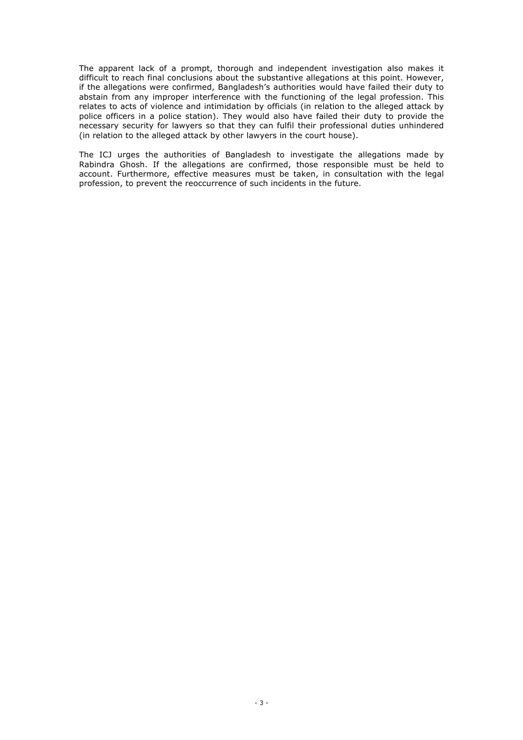The apparent lack of a prompt, thorough and independent investigation also makes it difficult to reach final conclusions about the substantive allegations at this point. However, if the allegations were confirmed, Bangladesh's authorities would have failed their duty to abstain from any improper interference with the functioning of the legal profession. This relates to acts of violence and intimidation by officials (in relation to the alleged attack by police officers in a police station). They would also have failed their duty to provide the necessary security for lawyers so that they can fulfil their professional duties unhindered (in relation to the alleged attack by other lawyers in the court house).

The ICJ urges the authorities of Bangladesh to investigate the allegations made by Rabindra Ghosh. If the allegations are confirmed, those responsible must be held to account. Furthermore, effective measures must be taken, in consultation with the legal profession, to prevent the reoccurrence of such incidents in the future.